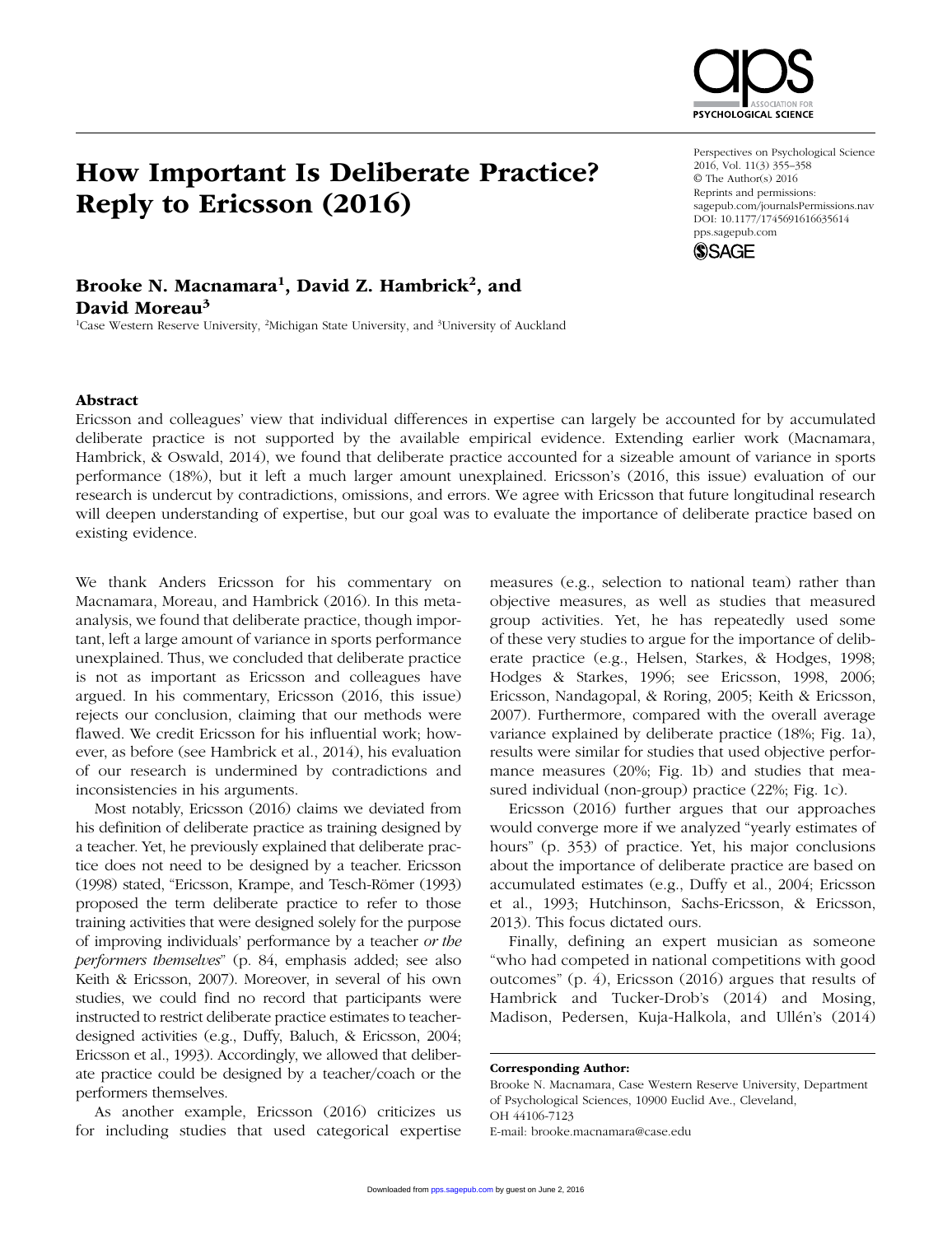

# How Important Is Deliberate Practice? Reply to Ericsson (2016)

#### Perspectives on Psychological Science 2016, Vol. 11(3) 355–358 © The Author(s) 2016 Reprints and permissions: sagepub.com/journalsPermissions.nav DOI: 10.1177/1745691616635614 pps.sagepub.com



## Brooke N. Macnamara<sup>1</sup>, David Z. Hambrick<sup>2</sup>, and David Moreau<sup>3</sup>

<sup>1</sup>Case Western Reserve University, <sup>2</sup>Michigan State University, and <sup>3</sup>University of Auckland

## Abstract

Ericsson and colleagues' view that individual differences in expertise can largely be accounted for by accumulated deliberate practice is not supported by the available empirical evidence. Extending earlier work (Macnamara, Hambrick, & Oswald, 2014), we found that deliberate practice accounted for a sizeable amount of variance in sports performance (18%), but it left a much larger amount unexplained. Ericsson's (2016, this issue) evaluation of our research is undercut by contradictions, omissions, and errors. We agree with Ericsson that future longitudinal research will deepen understanding of expertise, but our goal was to evaluate the importance of deliberate practice based on existing evidence.

We thank Anders Ericsson for his commentary on Macnamara, Moreau, and Hambrick (2016). In this metaanalysis, we found that deliberate practice, though important, left a large amount of variance in sports performance unexplained. Thus, we concluded that deliberate practice is not as important as Ericsson and colleagues have argued. In his commentary, Ericsson (2016, this issue) rejects our conclusion, claiming that our methods were flawed. We credit Ericsson for his influential work; however, as before (see Hambrick et al., 2014), his evaluation of our research is undermined by contradictions and inconsistencies in his arguments.

Most notably, Ericsson (2016) claims we deviated from his definition of deliberate practice as training designed by a teacher. Yet, he previously explained that deliberate practice does not need to be designed by a teacher. Ericsson (1998) stated, "Ericsson, Krampe, and Tesch-Römer (1993) proposed the term deliberate practice to refer to those training activities that were designed solely for the purpose of improving individuals' performance by a teacher *or the performers themselves*" (p. 84, emphasis added; see also Keith & Ericsson, 2007). Moreover, in several of his own studies, we could find no record that participants were instructed to restrict deliberate practice estimates to teacherdesigned activities (e.g., Duffy, Baluch, & Ericsson, 2004; Ericsson et al., 1993). Accordingly, we allowed that deliberate practice could be designed by a teacher/coach or the performers themselves.

As another example, Ericsson (2016) criticizes us for including studies that used categorical expertise

measures (e.g., selection to national team) rather than objective measures, as well as studies that measured group activities. Yet, he has repeatedly used some of these very studies to argue for the importance of deliberate practice (e.g., Helsen, Starkes, & Hodges, 1998; Hodges & Starkes, 1996; see Ericsson, 1998, 2006; Ericsson, Nandagopal, & Roring, 2005; Keith & Ericsson, 2007). Furthermore, compared with the overall average variance explained by deliberate practice (18%; Fig. 1a), results were similar for studies that used objective performance measures (20%; Fig. 1b) and studies that measured individual (non-group) practice (22%; Fig. 1c).

Ericsson (2016) further argues that our approaches would converge more if we analyzed "yearly estimates of hours" (p. 353) of practice. Yet, his major conclusions about the importance of deliberate practice are based on accumulated estimates (e.g., Duffy et al., 2004; Ericsson et al., 1993; Hutchinson, Sachs-Ericsson, & Ericsson, 2013). This focus dictated ours.

Finally, defining an expert musician as someone "who had competed in national competitions with good outcomes" (p. 4), Ericsson (2016) argues that results of Hambrick and Tucker-Drob's (2014) and Mosing, Madison, Pedersen, Kuja-Halkola, and Ullén's (2014)

Brooke N. Macnamara, Case Western Reserve University, Department of Psychological Sciences, 10900 Euclid Ave., Cleveland, OH 44106-7123 E-mail: brooke.macnamara@case.edu

Corresponding Author: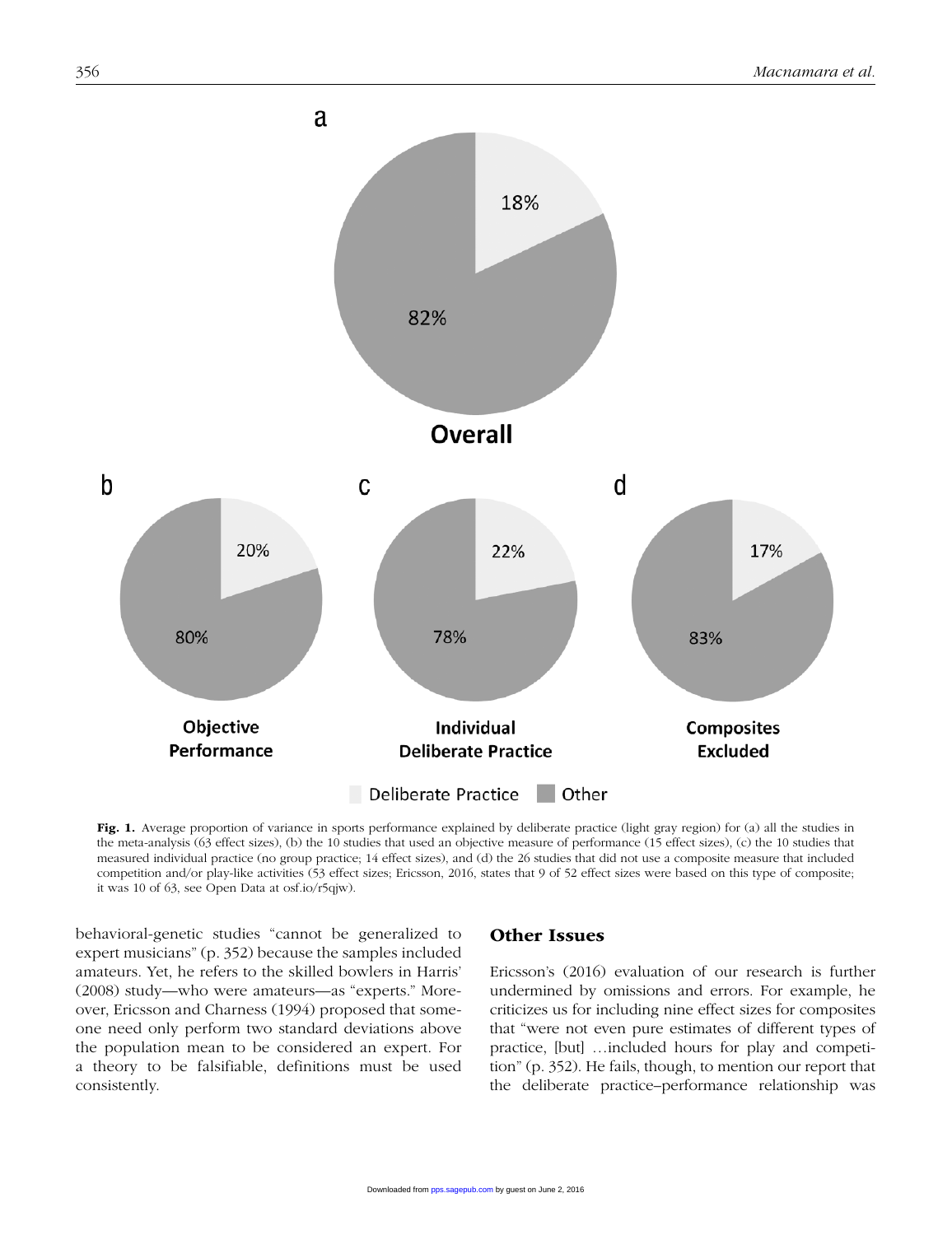

Fig. 1. Average proportion of variance in sports performance explained by deliberate practice (light gray region) for (a) all the studies in the meta-analysis (63 effect sizes), (b) the 10 studies that used an objective measure of performance (15 effect sizes), (c) the 10 studies that measured individual practice (no group practice; 14 effect sizes), and (d) the 26 studies that did not use a composite measure that included competition and/or play-like activities (53 effect sizes; Ericsson, 2016, states that 9 of 52 effect sizes were based on this type of composite; it was 10 of 63, see Open Data at osf.io/r5qjw).

behavioral-genetic studies "cannot be generalized to expert musicians" (p. 352) because the samples included amateurs. Yet, he refers to the skilled bowlers in Harris' (2008) study—who were amateurs—as "experts." Moreover, Ericsson and Charness (1994) proposed that someone need only perform two standard deviations above the population mean to be considered an expert. For a theory to be falsifiable, definitions must be used consistently.

## Other Issues

Ericsson's (2016) evaluation of our research is further undermined by omissions and errors. For example, he criticizes us for including nine effect sizes for composites that "were not even pure estimates of different types of practice, [but] …included hours for play and competition" (p. 352). He fails, though, to mention our report that the deliberate practice–performance relationship was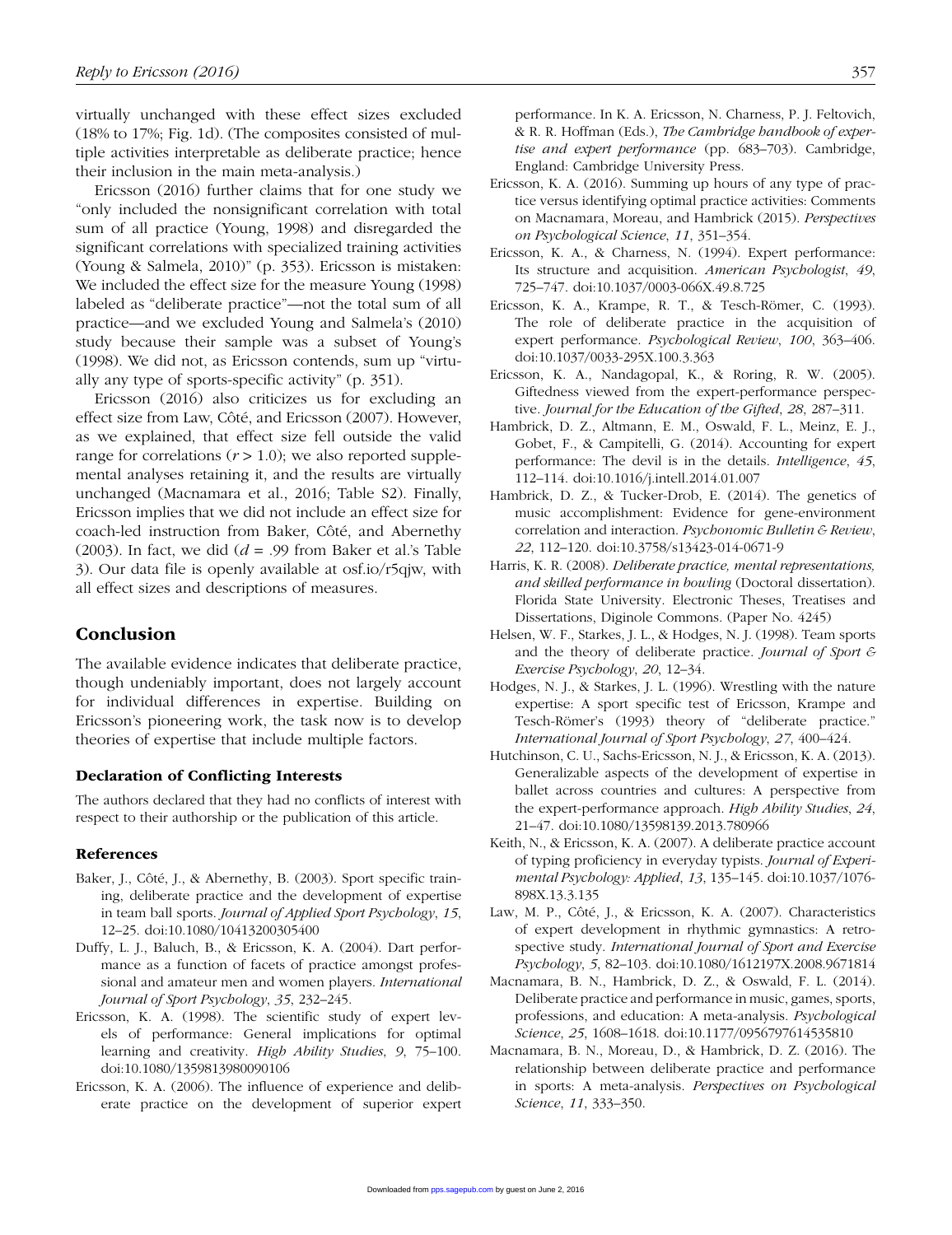virtually unchanged with these effect sizes excluded (18% to 17%; Fig. 1d). (The composites consisted of multiple activities interpretable as deliberate practice; hence their inclusion in the main meta-analysis.)

Ericsson (2016) further claims that for one study we "only included the nonsignificant correlation with total sum of all practice (Young, 1998) and disregarded the significant correlations with specialized training activities (Young & Salmela, 2010)" (p. 353). Ericsson is mistaken: We included the effect size for the measure Young (1998) labeled as "deliberate practice"—not the total sum of all practice—and we excluded Young and Salmela's (2010) study because their sample was a subset of Young's (1998). We did not, as Ericsson contends, sum up "virtually any type of sports-specific activity" (p. 351).

Ericsson (2016) also criticizes us for excluding an effect size from Law, Côté, and Ericsson (2007). However, as we explained, that effect size fell outside the valid range for correlations  $(r > 1.0)$ ; we also reported supplemental analyses retaining it, and the results are virtually unchanged (Macnamara et al., 2016; Table S2). Finally, Ericsson implies that we did not include an effect size for coach-led instruction from Baker, Côté, and Abernethy (2003). In fact, we did  $(d = .99)$  from Baker et al.'s Table 3). Our data file is openly available at osf.io/r5qjw, with all effect sizes and descriptions of measures.

## Conclusion

The available evidence indicates that deliberate practice, though undeniably important, does not largely account for individual differences in expertise. Building on Ericsson's pioneering work, the task now is to develop theories of expertise that include multiple factors.

### Declaration of Conflicting Interests

The authors declared that they had no conflicts of interest with respect to their authorship or the publication of this article.

#### References

- Baker, J., Côté, J., & Abernethy, B. (2003). Sport specific training, deliberate practice and the development of expertise in team ball sports. *Journal of Applied Sport Psychology*, *15*, 12–25. doi:10.1080/10413200305400
- Duffy, L. J., Baluch, B., & Ericsson, K. A. (2004). Dart performance as a function of facets of practice amongst professional and amateur men and women players. *International Journal of Sport Psychology*, *35*, 232–245.
- Ericsson, K. A. (1998). The scientific study of expert levels of performance: General implications for optimal learning and creativity. *High Ability Studies*, *9*, 75–100. doi:10.1080/1359813980090106
- Ericsson, K. A. (2006). The influence of experience and deliberate practice on the development of superior expert

performance. In K. A. Ericsson, N. Charness, P. J. Feltovich, & R. R. Hoffman (Eds.), *The Cambridge handbook of expertise and expert performance* (pp. 683–703). Cambridge, England: Cambridge University Press.

- Ericsson, K. A. (2016). Summing up hours of any type of practice versus identifying optimal practice activities: Comments on Macnamara, Moreau, and Hambrick (2015). *Perspectives on Psychological Science*, *11*, 351–354.
- Ericsson, K. A., & Charness, N. (1994). Expert performance: Its structure and acquisition. *American Psychologist*, *49*, 725–747. doi:10.1037/0003-066X.49.8.725
- Ericsson, K. A., Krampe, R. T., & Tesch-Römer, C. (1993). The role of deliberate practice in the acquisition of expert performance. *Psychological Review*, *100*, 363–406. doi:10.1037/0033-295X.100.3.363
- Ericsson, K. A., Nandagopal, K., & Roring, R. W. (2005). Giftedness viewed from the expert-performance perspective. *Journal for the Education of the Gifted*, *28*, 287–311.
- Hambrick, D. Z., Altmann, E. M., Oswald, F. L., Meinz, E. J., Gobet, F., & Campitelli, G. (2014). Accounting for expert performance: The devil is in the details. *Intelligence*, *45*, 112–114. doi:10.1016/j.intell.2014.01.007
- Hambrick, D. Z., & Tucker-Drob, E. (2014). The genetics of music accomplishment: Evidence for gene-environment correlation and interaction. *Psychonomic Bulletin & Review*, *22*, 112–120. doi:10.3758/s13423-014-0671-9
- Harris, K. R. (2008). *Deliberate practice, mental representations, and skilled performance in bowling* (Doctoral dissertation). Florida State University. Electronic Theses, Treatises and Dissertations, Diginole Commons. (Paper No. 4245)
- Helsen, W. F., Starkes, J. L., & Hodges, N. J. (1998). Team sports and the theory of deliberate practice. *Journal of Sport & Exercise Psychology*, *20*, 12–34.
- Hodges, N. J., & Starkes, J. L. (1996). Wrestling with the nature expertise: A sport specific test of Ericsson, Krampe and Tesch-Römer's (1993) theory of "deliberate practice." *International Journal of Sport Psychology*, *27*, 400–424.
- Hutchinson, C. U., Sachs-Ericsson, N. J., & Ericsson, K. A. (2013). Generalizable aspects of the development of expertise in ballet across countries and cultures: A perspective from the expert-performance approach. *High Ability Studies*, *24*, 21–47. doi:10.1080/13598139.2013.780966
- Keith, N., & Ericsson, K. A. (2007). A deliberate practice account of typing proficiency in everyday typists. *Journal of Experimental Psychology: Applied*, *13*, 135–145. doi:10.1037/1076- 898X.13.3.135
- Law, M. P., Côté, J., & Ericsson, K. A. (2007). Characteristics of expert development in rhythmic gymnastics: A retrospective study. *International Journal of Sport and Exercise Psychology*, *5*, 82–103. doi:10.1080/1612197X.2008.9671814
- Macnamara, B. N., Hambrick, D. Z., & Oswald, F. L. (2014). Deliberate practice and performance in music, games, sports, professions, and education: A meta-analysis. *Psychological Science*, *25*, 1608–1618. doi:10.1177/0956797614535810
- Macnamara, B. N., Moreau, D., & Hambrick, D. Z. (2016). The relationship between deliberate practice and performance in sports: A meta-analysis. *Perspectives on Psychological Science*, *11*, 333–350.